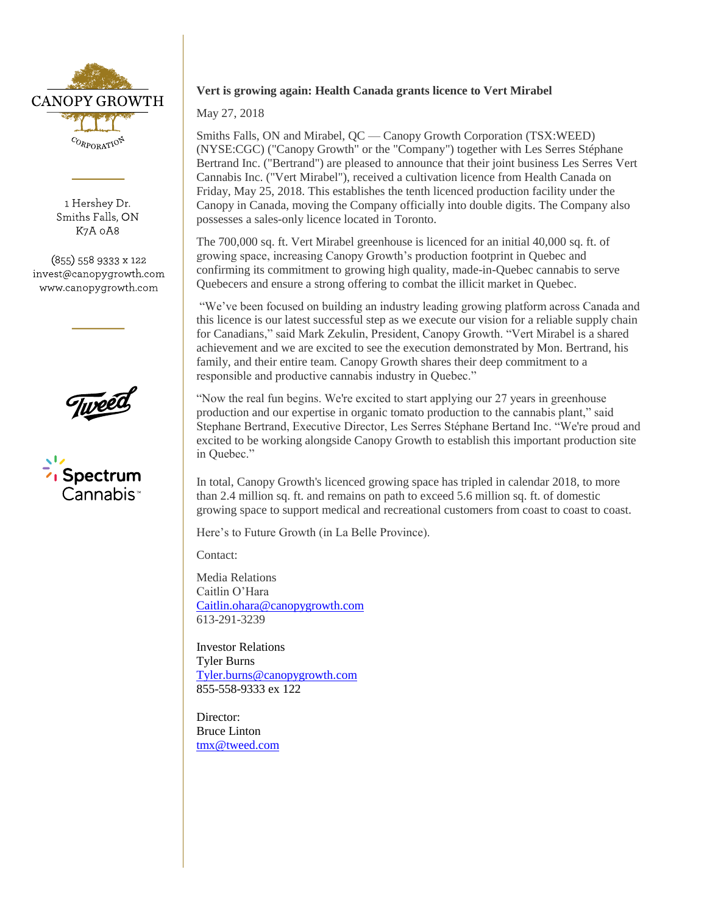

1 Hershey Dr. Smiths Falls, ON K7A 0A8

(855) 558 9333 x 122 invest@canopygrowth.com www.canopygrowth.com



# **Vert is growing again: Health Canada grants licence to Vert Mirabel**

## May 27, 2018

Smiths Falls, ON and Mirabel, QC — Canopy Growth Corporation (TSX:WEED) (NYSE:CGC) ("Canopy Growth" or the "Company") together with Les Serres Stéphane Bertrand Inc. ("Bertrand") are pleased to announce that their joint business Les Serres Vert Cannabis Inc. ("Vert Mirabel"), received a cultivation licence from Health Canada on Friday, May 25, 2018. This establishes the tenth licenced production facility under the Canopy in Canada, moving the Company officially into double digits. The Company also possesses a sales-only licence located in Toronto.

The 700,000 sq. ft. Vert Mirabel greenhouse is licenced for an initial 40,000 sq. ft. of growing space, increasing Canopy Growth's production footprint in Quebec and confirming its commitment to growing high quality, made-in-Quebec cannabis to serve Quebecers and ensure a strong offering to combat the illicit market in Quebec.

"We've been focused on building an industry leading growing platform across Canada and this licence is our latest successful step as we execute our vision for a reliable supply chain for Canadians," said Mark Zekulin, President, Canopy Growth. "Vert Mirabel is a shared achievement and we are excited to see the execution demonstrated by Mon. Bertrand, his family, and their entire team. Canopy Growth shares their deep commitment to a responsible and productive cannabis industry in Quebec."

"Now the real fun begins. We're excited to start applying our 27 years in greenhouse production and our expertise in organic tomato production to the cannabis plant," said Stephane Bertrand, Executive Director, Les Serres Stéphane Bertand Inc. "We're proud and excited to be working alongside Canopy Growth to establish this important production site in Quebec."

In total, Canopy Growth's licenced growing space has tripled in calendar 2018, to more than 2.4 million sq. ft. and remains on path to exceed 5.6 million sq. ft. of domestic growing space to support medical and recreational customers from coast to coast to coast.

Here's to Future Growth (in La Belle Province).

Contact:

Media Relations Caitlin O'Hara [Caitlin.ohara@canopygrowth.com](mailto:Caitlin.ohara@canopygrowth.com) 613-291-3239

Investor Relations Tyler Burns [Tyler.burns@canopygrowth.com](mailto:Tyler.burns@canopygrowth.com) 855-558-9333 ex 122

Director: Bruce Linton [tmx@tweed.com](mailto:tmx@tweed.com)